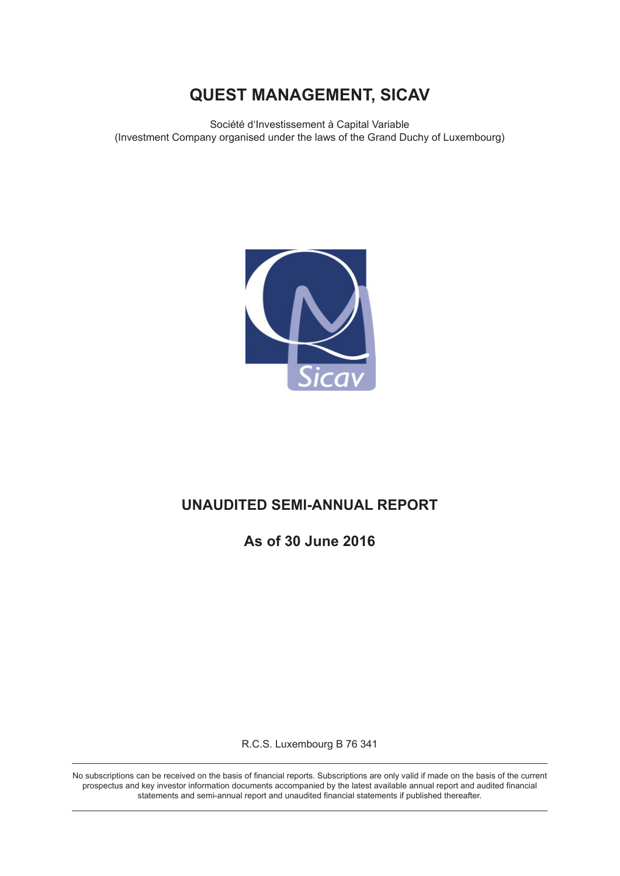Société d'Investissement à Capital Variable (Investment Company organised under the laws of the Grand Duchy of Luxembourg)



# **UNAUDITED SEMI-ANNUAL REPORT**

**As of 30 June 2016**

R.C.S. Luxembourg B 76 341

No subscriptions can be received on the basis of financial reports. Subscriptions are only valid if made on the basis of the current prospectus and key investor information documents accompanied by the latest available annual report and audited financial statements and semi-annual report and unaudited financial statements if published thereafter.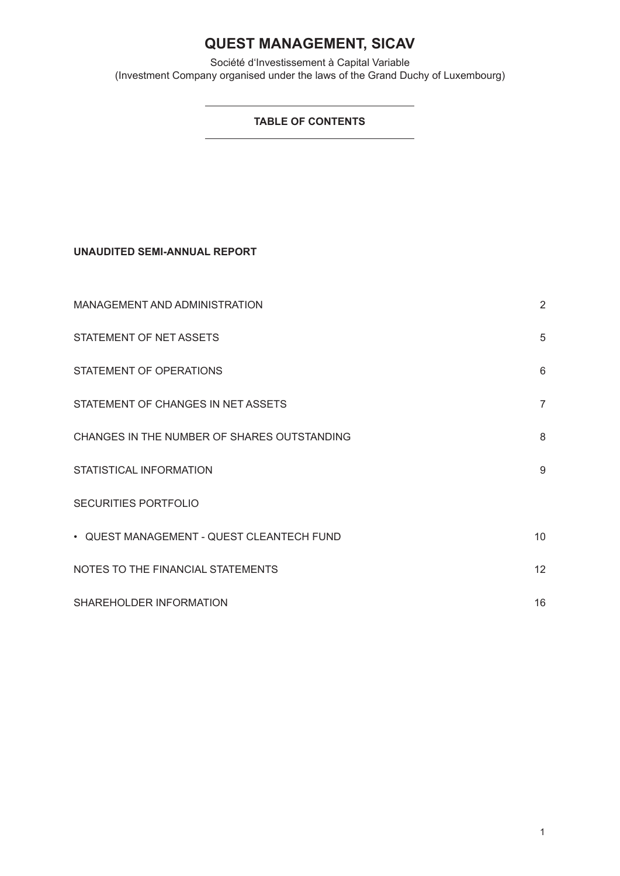Société d'Investissement à Capital Variable (Investment Company organised under the laws of the Grand Duchy of Luxembourg)

## **TABLE OF CONTENTS**

**UNAUDITED SEMI-ANNUAL REPORT**

| MANAGEMENT AND ADMINISTRATION               | $\overline{2}$ |
|---------------------------------------------|----------------|
| STATEMENT OF NET ASSETS                     | 5              |
| STATEMENT OF OPERATIONS                     | 6              |
| STATEMENT OF CHANGES IN NET ASSETS          | $\overline{7}$ |
| CHANGES IN THE NUMBER OF SHARES OUTSTANDING | 8              |
| STATISTICAL INFORMATION                     | 9              |
| <b>SECURITIES PORTFOLIO</b>                 |                |
| • QUEST MANAGEMENT - QUEST CLEANTECH FUND   | 10             |
| NOTES TO THE FINANCIAL STATEMENTS           | 12             |
| SHAREHOLDER INFORMATION                     | 16             |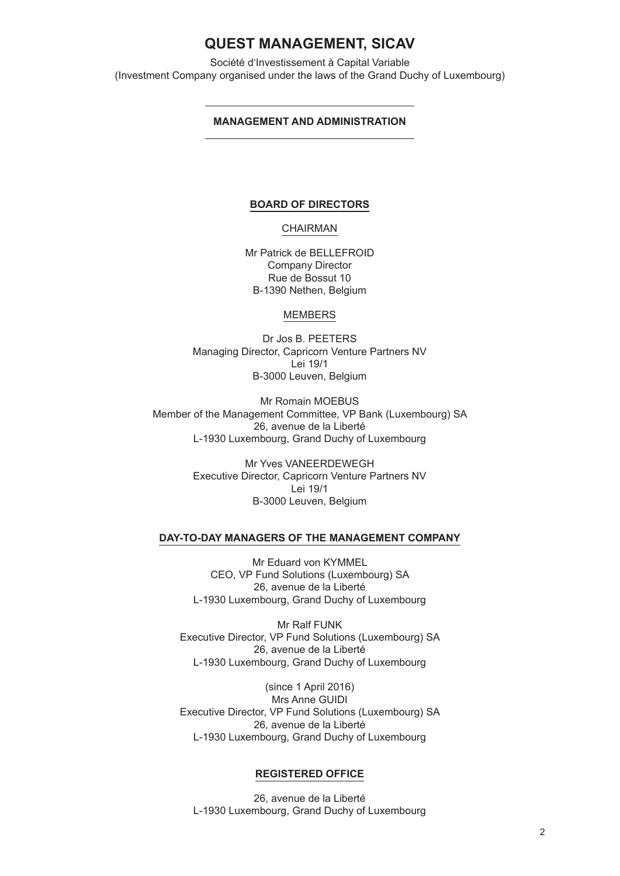Société d'Investissement à Capital Variable (Investment Company organised under the laws of the Grand Duchy of Luxembourg)

### **MANAGEMENT AND ADMINISTRATION**

### **BOARD OF DIRECTORS**

### CHAIRMAN

Mr Patrick de BELLEFROID Company Director Rue de Bossut 10 B-1390 Nethen, Belgium

### MEMBERS

Dr Jos B. PEETERS Managing Director, Capricorn Venture Partners NV Lei 19/1 B-3000 Leuven, Belgium

Mr Romain MOEBUS Member of the Management Committee, VP Bank (Luxembourg) SA 26, avenue de la Liberté L-1930 Luxembourg, Grand Duchy of Luxembourg

> Mr Yves VANEERDEWEGH Executive Director, Capricorn Venture Partners NV Lei 19/1 B-3000 Leuven, Belgium

### **DAY-TO-DAY MANAGERS OF THE MANAGEMENT COMPANY**

Mr Eduard von KYMMEL CEO, VP Fund Solutions (Luxembourg) SA 26, avenue de la Liberté L-1930 Luxembourg, Grand Duchy of Luxembourg

Mr Ralf FUNK Executive Director, VP Fund Solutions (Luxembourg) SA 26, avenue de la Liberté L-1930 Luxembourg, Grand Duchy of Luxembourg

(since 1 April 2016) Mrs Anne GUIDI Executive Director, VP Fund Solutions (Luxembourg) SA 26, avenue de la Liberté L-1930 Luxembourg, Grand Duchy of Luxembourg

### **REGISTERED OFFICE**

26, avenue de la Liberté L-1930 Luxembourg, Grand Duchy of Luxembourg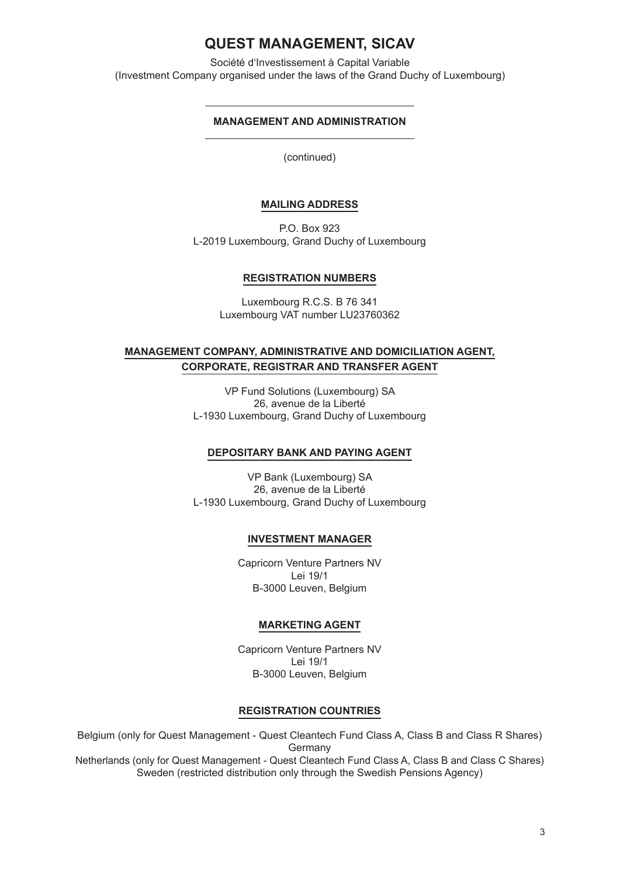Société d'Investissement à Capital Variable (Investment Company organised under the laws of the Grand Duchy of Luxembourg)

### **MANAGEMENT AND ADMINISTRATION**

(continued)

### **MAILING ADDRESS**

P.O. Box 923 L-2019 Luxembourg, Grand Duchy of Luxembourg

### **REGISTRATION NUMBERS**

Luxembourg R.C.S. B 76 341 Luxembourg VAT number LU23760362

## **MANAGEMENT COMPANY, ADMINISTRATIVE AND DOMICILIATION AGENT, CORPORATE, REGISTRAR AND TRANSFER AGENT**

VP Fund Solutions (Luxembourg) SA 26, avenue de la Liberté L-1930 Luxembourg, Grand Duchy of Luxembourg

### **DEPOSITARY BANK AND PAYING AGENT**

VP Bank (Luxembourg) SA 26, avenue de la Liberté L-1930 Luxembourg, Grand Duchy of Luxembourg

### **INVESTMENT MANAGER**

Capricorn Venture Partners NV Lei 19/1 B-3000 Leuven, Belgium

## **MARKETING AGENT**

Capricorn Venture Partners NV Lei 19/1 B-3000 Leuven, Belgium

### **REGISTRATION COUNTRIES**

Belgium (only for Quest Management - Quest Cleantech Fund Class A, Class B and Class R Shares) Germany Netherlands (only for Quest Management - Quest Cleantech Fund Class A, Class B and Class C Shares) Sweden (restricted distribution only through the Swedish Pensions Agency)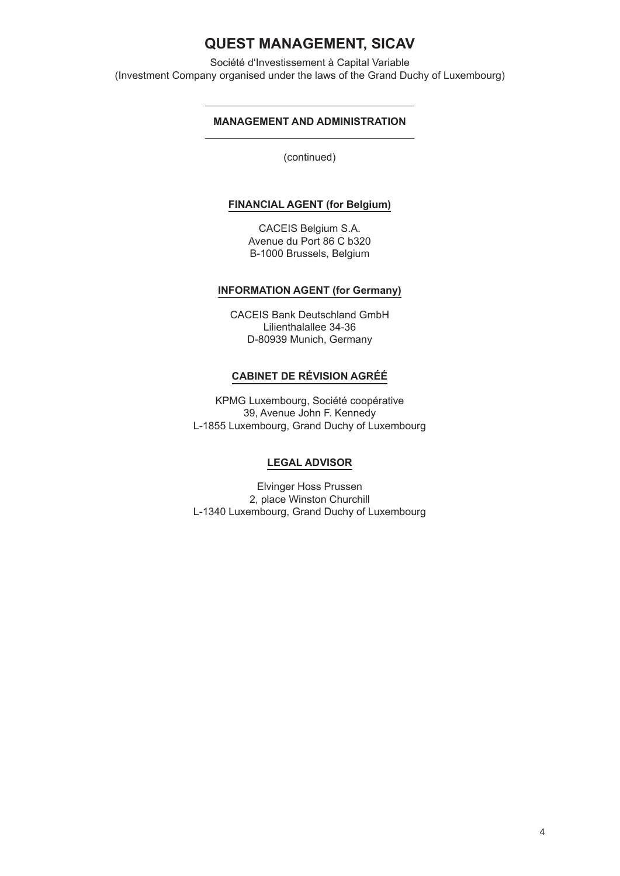Société d'Investissement à Capital Variable (Investment Company organised under the laws of the Grand Duchy of Luxembourg)

## **MANAGEMENT AND ADMINISTRATION**

(continued)

## **FINANCIAL AGENT (for Belgium)**

CACEIS Belgium S.A. Avenue du Port 86 C b320 B-1000 Brussels, Belgium

### **INFORMATION AGENT (for Germany)**

CACEIS Bank Deutschland GmbH Lilienthalallee 34-36 D-80939 Munich, Germany

### **CABINET DE RÉVISION AGRÉÉ**

KPMG Luxembourg, Société coopérative 39, Avenue John F. Kennedy L-1855 Luxembourg, Grand Duchy of Luxembourg

### **LEGAL ADVISOR**

Elvinger Hoss Prussen 2, place Winston Churchill L-1340 Luxembourg, Grand Duchy of Luxembourg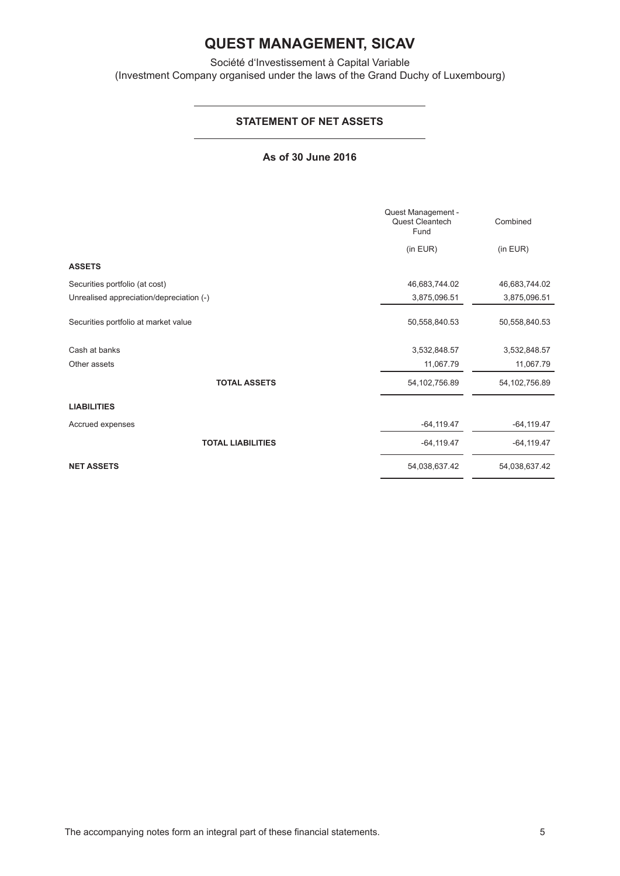Société d'Investissement à Capital Variable (Investment Company organised under the laws of the Grand Duchy of Luxembourg)

## **STATEMENT OF NET ASSETS**

### **As of 30 June 2016**

|                                          | Quest Management -<br>Quest Cleantech<br>Fund | Combined        |
|------------------------------------------|-----------------------------------------------|-----------------|
|                                          | (in EUR)                                      | (in EUR)        |
| <b>ASSETS</b>                            |                                               |                 |
| Securities portfolio (at cost)           | 46,683,744.02                                 | 46,683,744.02   |
| Unrealised appreciation/depreciation (-) | 3,875,096.51                                  | 3,875,096.51    |
| Securities portfolio at market value     | 50,558,840.53                                 | 50,558,840.53   |
| Cash at banks                            | 3,532,848.57                                  | 3,532,848.57    |
| Other assets                             | 11,067.79                                     | 11,067.79       |
| <b>TOTAL ASSETS</b>                      | 54, 102, 756.89                               | 54, 102, 756.89 |
| <b>LIABILITIES</b>                       |                                               |                 |
| Accrued expenses                         | $-64, 119.47$                                 | $-64, 119.47$   |
| <b>TOTAL LIABILITIES</b>                 | $-64, 119.47$                                 | $-64, 119.47$   |
| <b>NET ASSETS</b>                        | 54,038,637.42                                 | 54,038,637.42   |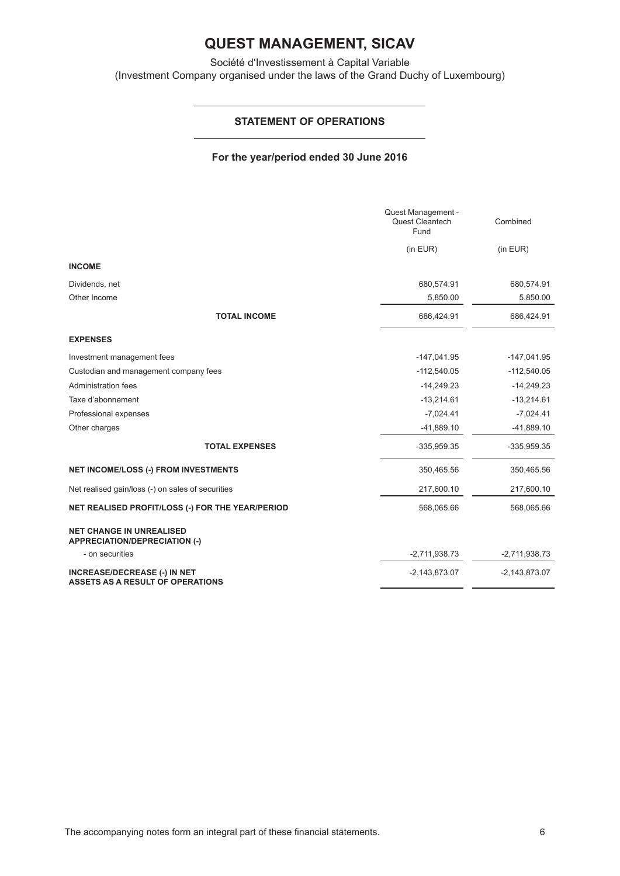Société d'Investissement à Capital Variable (Investment Company organised under the laws of the Grand Duchy of Luxembourg)

## **STATEMENT OF OPERATIONS**

### **For the year/period ended 30 June 2016**

|                                                                                | Quest Management -<br>Quest Cleantech<br>Fund | Combined        |
|--------------------------------------------------------------------------------|-----------------------------------------------|-----------------|
|                                                                                | (in EUR)                                      | (in EUR)        |
| <b>INCOME</b>                                                                  |                                               |                 |
| Dividends, net                                                                 | 680,574.91                                    | 680,574.91      |
| Other Income                                                                   | 5,850.00                                      | 5,850.00        |
| <b>TOTAL INCOME</b>                                                            | 686,424.91                                    | 686,424.91      |
| <b>EXPENSES</b>                                                                |                                               |                 |
| Investment management fees                                                     | $-147,041.95$                                 | $-147,041.95$   |
| Custodian and management company fees                                          | $-112,540.05$                                 | $-112,540.05$   |
| <b>Administration fees</b>                                                     | $-14,249.23$                                  | $-14,249.23$    |
| Taxe d'abonnement                                                              | $-13,214.61$                                  | $-13,214.61$    |
| Professional expenses                                                          | $-7,024.41$                                   | $-7,024.41$     |
| Other charges                                                                  | $-41,889.10$                                  | $-41,889.10$    |
| <b>TOTAL EXPENSES</b>                                                          | $-335,959.35$                                 | $-335,959.35$   |
| <b>NET INCOME/LOSS (-) FROM INVESTMENTS</b>                                    | 350,465.56                                    | 350,465.56      |
| Net realised gain/loss (-) on sales of securities                              | 217,600.10                                    | 217,600.10      |
| NET REALISED PROFIT/LOSS (-) FOR THE YEAR/PERIOD                               | 568,065.66                                    | 568,065.66      |
| <b>NET CHANGE IN UNREALISED</b><br><b>APPRECIATION/DEPRECIATION (-)</b>        |                                               |                 |
| - on securities                                                                | $-2,711,938.73$                               | $-2,711,938.73$ |
| <b>INCREASE/DECREASE (-) IN NET</b><br><b>ASSETS AS A RESULT OF OPERATIONS</b> | $-2,143,873.07$                               | $-2,143,873.07$ |

The accompanying notes form an integral part of these financial statements. 6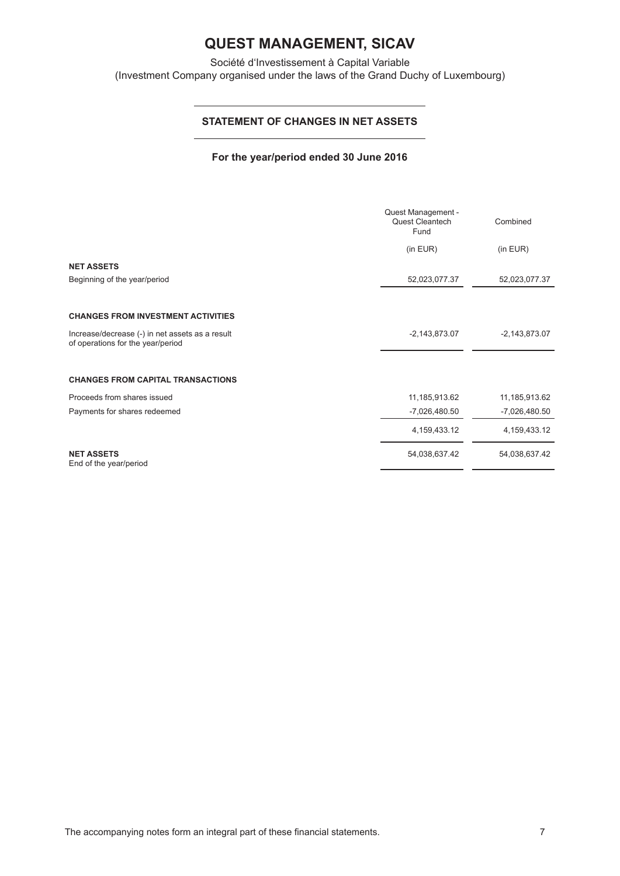Société d'Investissement à Capital Variable (Investment Company organised under the laws of the Grand Duchy of Luxembourg)

## **STATEMENT OF CHANGES IN NET ASSETS**

### **For the year/period ended 30 June 2016**

|                                                                                      | Quest Management -<br>Quest Cleantech<br>Fund | Combined        |
|--------------------------------------------------------------------------------------|-----------------------------------------------|-----------------|
|                                                                                      | (in EUR)                                      | (in EUR)        |
| <b>NET ASSETS</b>                                                                    |                                               |                 |
| Beginning of the year/period                                                         | 52,023,077.37                                 | 52,023,077.37   |
|                                                                                      |                                               |                 |
| <b>CHANGES FROM INVESTMENT ACTIVITIES</b>                                            |                                               |                 |
| Increase/decrease (-) in net assets as a result<br>of operations for the year/period | $-2,143,873.07$                               | $-2,143,873.07$ |
|                                                                                      |                                               |                 |
| <b>CHANGES FROM CAPITAL TRANSACTIONS</b>                                             |                                               |                 |
| Proceeds from shares issued                                                          | 11,185,913.62                                 | 11,185,913.62   |
| Payments for shares redeemed                                                         | $-7,026,480.50$                               | $-7,026,480.50$ |
|                                                                                      | 4,159,433.12                                  | 4, 159, 433. 12 |
| <b>NET ASSETS</b><br>End of the year/period                                          | 54,038,637.42                                 | 54,038,637.42   |

 $\overline{a}$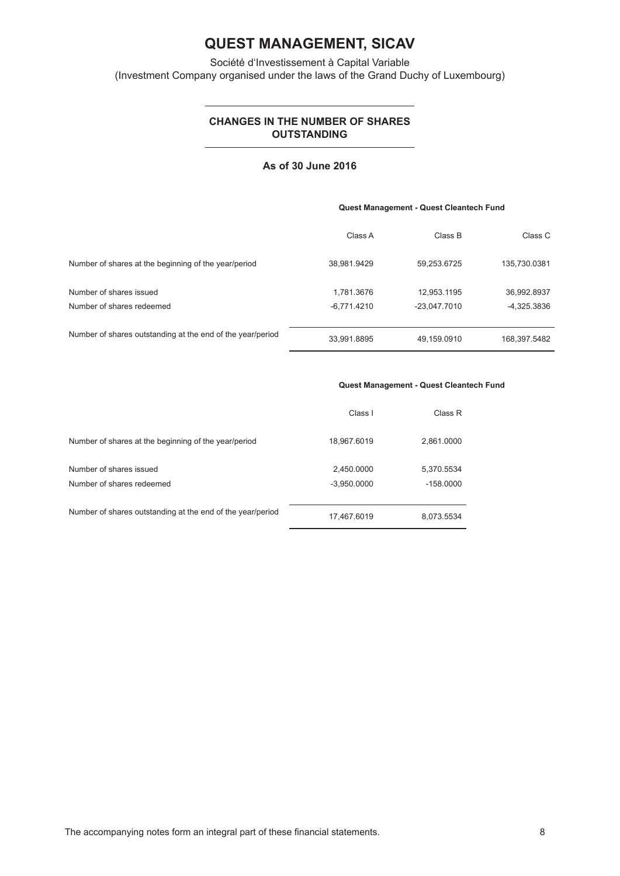Société d'Investissement à Capital Variable (Investment Company organised under the laws of the Grand Duchy of Luxembourg)

## **CHANGES IN THE NUMBER OF SHARES OUTSTANDING**

### **As of 30 June 2016**

#### **Quest Management - Quest Cleantech Fund**

|                                                            | Class A       | Class B        | Class C       |
|------------------------------------------------------------|---------------|----------------|---------------|
| Number of shares at the beginning of the year/period       | 38,981.9429   | 59,253.6725    | 135,730.0381  |
| Number of shares issued                                    | 1.781.3676    | 12.953.1195    | 36,992.8937   |
| Number of shares redeemed                                  | $-6,771.4210$ | $-23.047.7010$ | $-4,325.3836$ |
| Number of shares outstanding at the end of the year/period | 33,991.8895   | 49,159.0910    | 168,397.5482  |

#### **Quest Management - Quest Cleantech Fund**

|                                                            | Class I                     | Class R                   |
|------------------------------------------------------------|-----------------------------|---------------------------|
| Number of shares at the beginning of the year/period       | 18,967.6019                 | 2,861.0000                |
| Number of shares issued<br>Number of shares redeemed       | 2,450.0000<br>$-3,950.0000$ | 5,370.5534<br>$-158.0000$ |
| Number of shares outstanding at the end of the year/period | 17,467.6019                 | 8,073.5534                |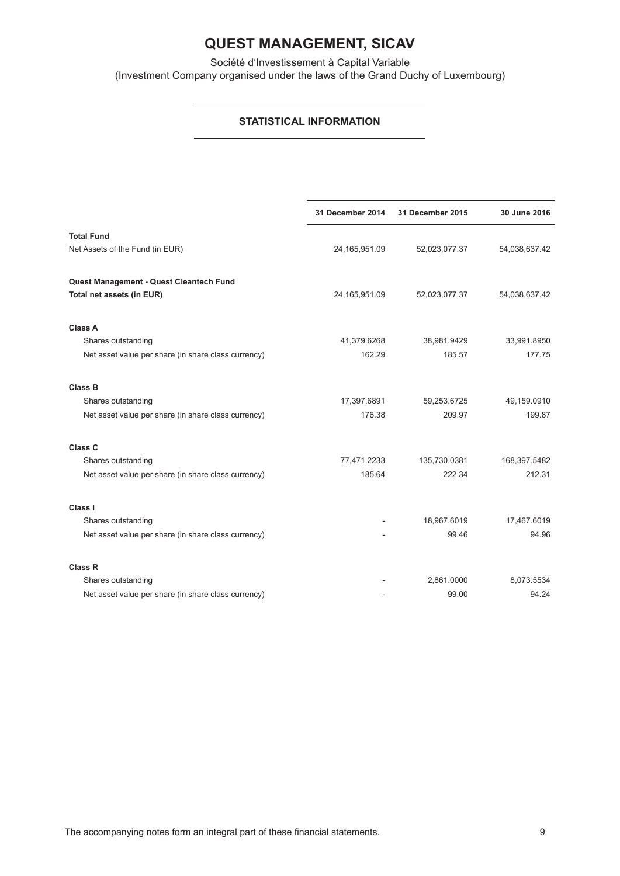Société d'Investissement à Capital Variable (Investment Company organised under the laws of the Grand Duchy of Luxembourg)

## **STATISTICAL INFORMATION**

|                                                     | 31 December 2014 | 31 December 2015 | 30 June 2016  |
|-----------------------------------------------------|------------------|------------------|---------------|
| <b>Total Fund</b>                                   |                  |                  |               |
| Net Assets of the Fund (in EUR)                     | 24,165,951.09    | 52,023,077.37    | 54,038,637.42 |
| Quest Management - Quest Cleantech Fund             |                  |                  |               |
| Total net assets (in EUR)                           | 24, 165, 951.09  | 52,023,077.37    | 54,038,637.42 |
| <b>Class A</b>                                      |                  |                  |               |
| Shares outstanding                                  | 41,379.6268      | 38,981.9429      | 33,991.8950   |
| Net asset value per share (in share class currency) | 162.29           | 185.57           | 177.75        |
| <b>Class B</b>                                      |                  |                  |               |
| Shares outstanding                                  | 17,397.6891      | 59,253.6725      | 49,159.0910   |
| Net asset value per share (in share class currency) | 176.38           | 209.97           | 199.87        |
| Class <sub>C</sub>                                  |                  |                  |               |
| Shares outstanding                                  | 77,471.2233      | 135,730.0381     | 168,397.5482  |
| Net asset value per share (in share class currency) | 185.64           | 222.34           | 212.31        |
| Class I                                             |                  |                  |               |
| Shares outstanding                                  |                  | 18,967.6019      | 17,467.6019   |
| Net asset value per share (in share class currency) |                  | 99.46            | 94.96         |
| <b>Class R</b>                                      |                  |                  |               |
| Shares outstanding                                  |                  | 2,861.0000       | 8,073.5534    |
| Net asset value per share (in share class currency) |                  | 99.00            | 94.24         |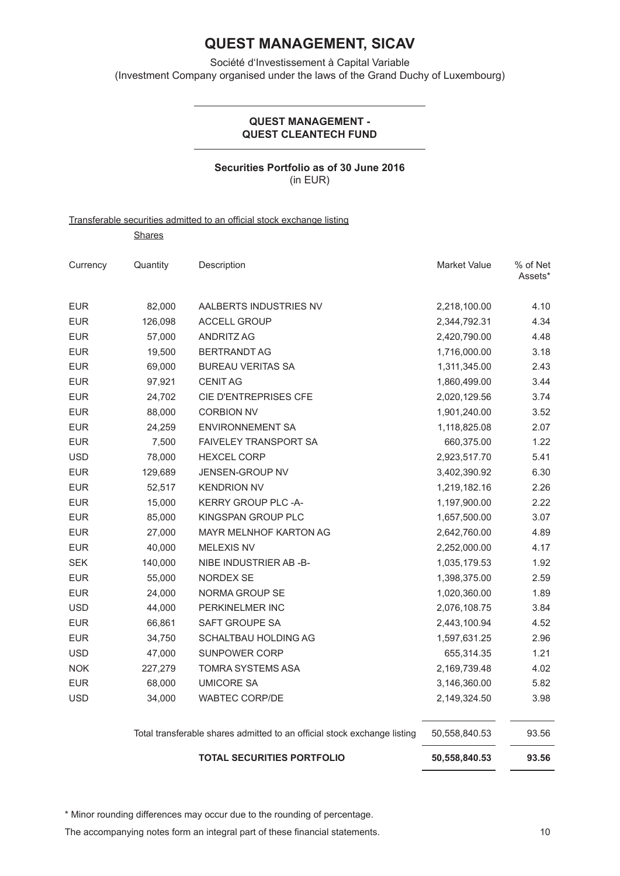Société d'Investissement à Capital Variable (Investment Company organised under the laws of the Grand Duchy of Luxembourg)

### **QUEST MANAGEMENT - QUEST CLEANTECH FUND**

## **Securities Portfolio as of 30 June 2016** (in EUR)

### Transferable securities admitted to an official stock exchange listing

**Shares** 

| Currency   | Quantity | Description                   | <b>Market Value</b> | % of Net<br>Assets* |
|------------|----------|-------------------------------|---------------------|---------------------|
| <b>EUR</b> | 82,000   | AALBERTS INDUSTRIES NV        | 2,218,100.00        | 4.10                |
| <b>EUR</b> | 126,098  | <b>ACCELL GROUP</b>           | 2,344,792.31        | 4.34                |
| <b>EUR</b> | 57.000   | <b>ANDRITZ AG</b>             | 2,420,790.00        | 4.48                |
| <b>EUR</b> | 19,500   | <b>BERTRANDT AG</b>           | 1,716,000.00        | 3.18                |
| <b>EUR</b> | 69,000   | <b>BUREAU VERITAS SA</b>      | 1,311,345.00        | 2.43                |
| <b>EUR</b> | 97,921   | <b>CENIT AG</b>               | 1,860,499.00        | 3.44                |
| <b>EUR</b> | 24,702   | CIE D'ENTREPRISES CFE         | 2,020,129.56        | 3.74                |
| <b>EUR</b> | 88,000   | <b>CORBION NV</b>             | 1,901,240.00        | 3.52                |
| <b>EUR</b> | 24.259   | ENVIRONNEMENT SA              | 1,118,825.08        | 2.07                |
| <b>EUR</b> | 7,500    | <b>FAIVELEY TRANSPORT SA</b>  | 660,375.00          | 1.22                |
| <b>USD</b> | 78,000   | <b>HEXCEL CORP</b>            | 2,923,517.70        | 5.41                |
| <b>EUR</b> | 129.689  | <b>JENSEN-GROUP NV</b>        | 3,402,390.92        | 6.30                |
| <b>EUR</b> | 52,517   | <b>KENDRION NV</b>            | 1,219,182.16        | 2.26                |
| <b>EUR</b> | 15,000   | <b>KERRY GROUP PLC -A-</b>    | 1,197,900.00        | 2.22                |
| <b>EUR</b> | 85.000   | KINGSPAN GROUP PLC            | 1,657,500.00        | 3.07                |
| <b>EUR</b> | 27,000   | <b>MAYR MELNHOF KARTON AG</b> | 2,642,760.00        | 4.89                |
| <b>EUR</b> | 40,000   | <b>MELEXIS NV</b>             | 2,252,000.00        | 4.17                |
| <b>SEK</b> | 140.000  | NIBE INDUSTRIER AB -B-        | 1,035,179.53        | 1.92                |
| <b>EUR</b> | 55,000   | NORDEX SE                     | 1,398,375.00        | 2.59                |
| <b>EUR</b> | 24,000   | NORMA GROUP SE                | 1,020,360.00        | 1.89                |
| <b>USD</b> | 44,000   | <b>PERKINELMER INC</b>        | 2,076,108.75        | 3.84                |
| <b>EUR</b> | 66,861   | SAFT GROUPE SA                | 2,443,100.94        | 4.52                |
| <b>EUR</b> | 34,750   | SCHALTBAU HOLDING AG          | 1,597,631.25        | 2.96                |
| <b>USD</b> | 47,000   | <b>SUNPOWER CORP</b>          | 655,314.35          | 1.21                |
| <b>NOK</b> | 227,279  | TOMRA SYSTEMS ASA             | 2,169,739.48        | 4.02                |
| <b>EUR</b> | 68,000   | <b>UMICORE SA</b>             | 3,146,360.00        | 5.82                |
| <b>USD</b> | 34,000   | <b>WABTEC CORP/DE</b>         | 2,149,324.50        | 3.98                |
|            |          |                               |                     |                     |

Total transferable shares admitted to an official stock exchange listing 50,558,840.53 93.56

| <b>TOTAL SECURITIES PORTFOLIO</b> | 50,558,840.53 | 93.56 |
|-----------------------------------|---------------|-------|
|                                   |               |       |

\* Minor rounding differences may occur due to the rounding of percentage.

The accompanying notes form an integral part of these financial statements.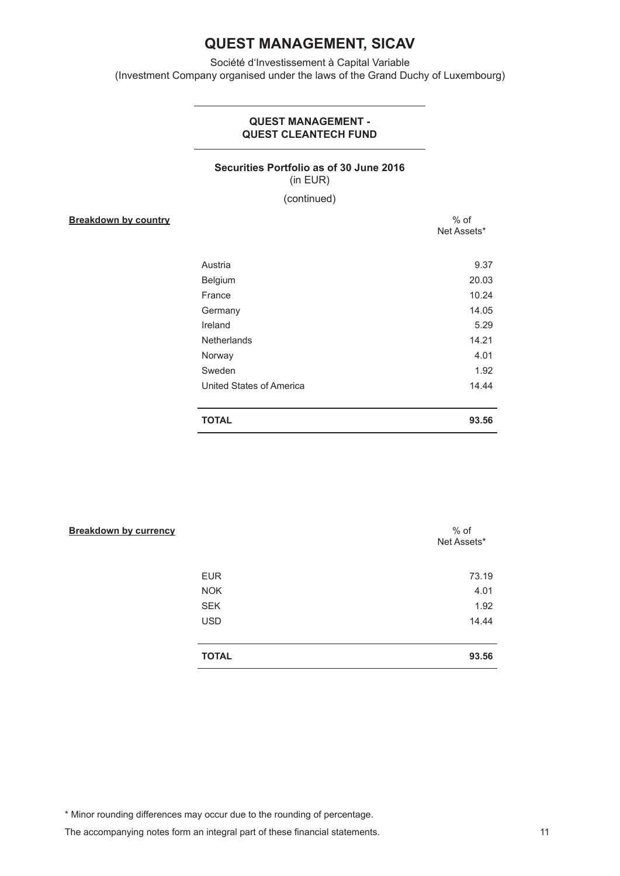Société d'Investissement à Capital Variable (Investment Company organised under the laws of the Grand Duchy of Luxembourg)

### **QUEST MANAGEMENT - QUEST CLEANTECH FUND**

## **Securities Portfolio as of 30 June 2016** (in EUR)

(continued)

**Breakdown by country**  $%$  % of

Net Assets\* Austria 9.37 Belgium 20.03 France 10.24 Germany 14.05 Ireland 5.29 Netherlands 14.21 Norway 4.01 Sweden 1.92 United States of America 14.44 **TOTAL 93.56**

| <b>Breakdown by currency</b> |              | $%$ of<br>Net Assets* |
|------------------------------|--------------|-----------------------|
|                              | <b>EUR</b>   | 73.19                 |
|                              | <b>NOK</b>   | 4.01                  |
|                              | <b>SEK</b>   | 1.92                  |
|                              | <b>USD</b>   | 14.44                 |
|                              | <b>TOTAL</b> | 93.56                 |

\* Minor rounding differences may occur due to the rounding of percentage.

The accompanying notes form an integral part of these financial statements.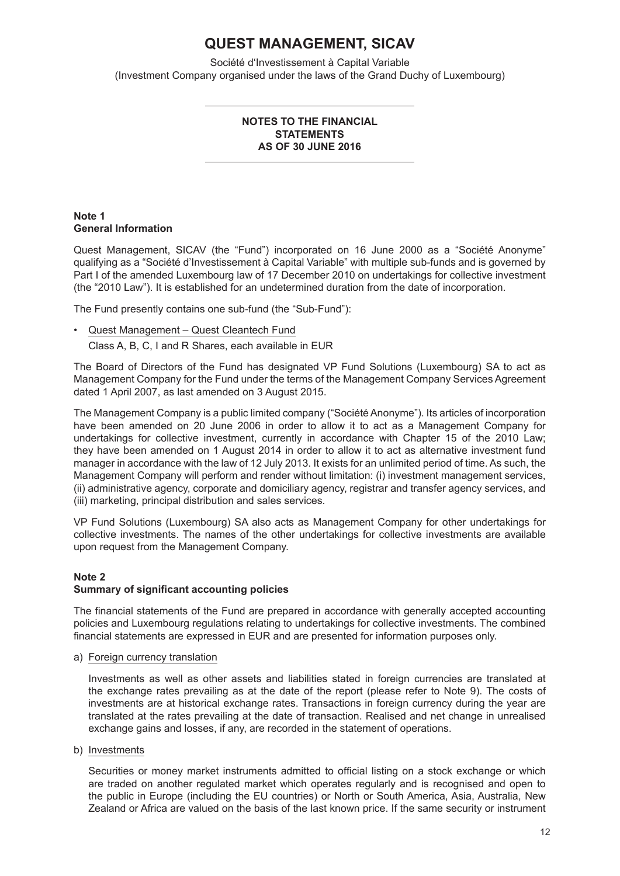Société d'Investissement à Capital Variable (Investment Company organised under the laws of the Grand Duchy of Luxembourg)

### **NOTES TO THE FINANCIAL STATEMENTS AS OF 30 JUNE 2016**

### **Note 1 General Information**

Quest Management, SICAV (the "Fund") incorporated on 16 June 2000 as a "Société Anonyme" qualifying as a "Société d'Investissement à Capital Variable" with multiple sub-funds and is governed by Part I of the amended Luxembourg law of 17 December 2010 on undertakings for collective investment (the "2010 Law"). It is established for an undetermined duration from the date of incorporation.

The Fund presently contains one sub-fund (the "Sub-Fund"):

• Quest Management – Quest Cleantech Fund Class A, B, C, I and R Shares, each available in EUR

The Board of Directors of the Fund has designated VP Fund Solutions (Luxembourg) SA to act as Management Company for the Fund under the terms of the Management Company Services Agreement dated 1 April 2007, as last amended on 3 August 2015.

The Management Company is a public limited company ("Société Anonyme"). Its articles of incorporation have been amended on 20 June 2006 in order to allow it to act as a Management Company for undertakings for collective investment, currently in accordance with Chapter 15 of the 2010 Law; they have been amended on 1 August 2014 in order to allow it to act as alternative investment fund manager in accordance with the law of 12 July 2013. It exists for an unlimited period of time. As such, the Management Company will perform and render without limitation: (i) investment management services, (ii) administrative agency, corporate and domiciliary agency, registrar and transfer agency services, and (iii) marketing, principal distribution and sales services.

VP Fund Solutions (Luxembourg) SA also acts as Management Company for other undertakings for collective investments. The names of the other undertakings for collective investments are available upon request from the Management Company.

#### **Note 2 Summary of significant accounting policies**

The financial statements of the Fund are prepared in accordance with generally accepted accounting policies and Luxembourg regulations relating to undertakings for collective investments. The combined financial statements are expressed in EUR and are presented for information purposes only.

a) Foreign currency translation

Investments as well as other assets and liabilities stated in foreign currencies are translated at the exchange rates prevailing as at the date of the report (please refer to Note 9). The costs of investments are at historical exchange rates. Transactions in foreign currency during the year are translated at the rates prevailing at the date of transaction. Realised and net change in unrealised exchange gains and losses, if any, are recorded in the statement of operations.

b) Investments

Securities or money market instruments admitted to official listing on a stock exchange or which are traded on another regulated market which operates regularly and is recognised and open to the public in Europe (including the EU countries) or North or South America, Asia, Australia, New Zealand or Africa are valued on the basis of the last known price. If the same security or instrument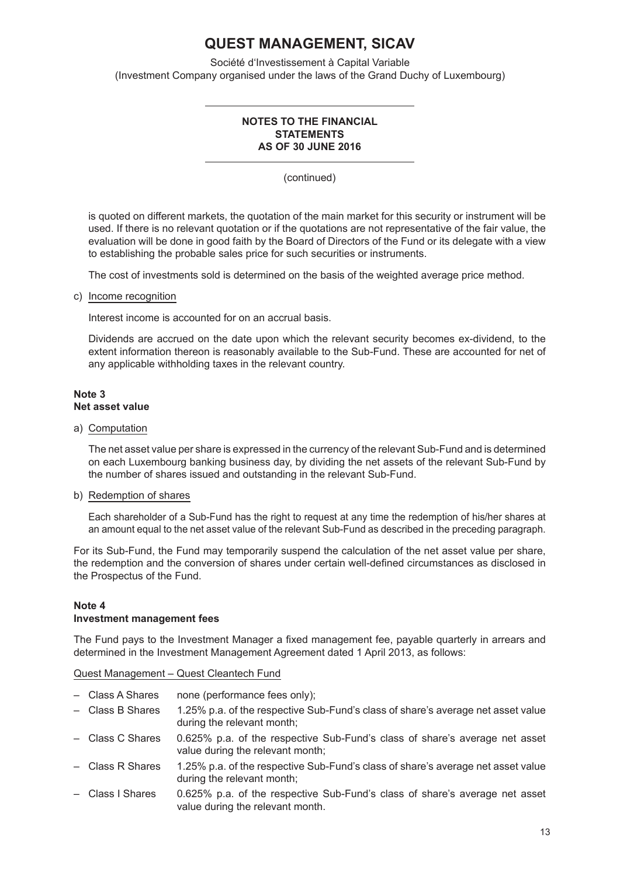Société d'Investissement à Capital Variable (Investment Company organised under the laws of the Grand Duchy of Luxembourg)

### **NOTES TO THE FINANCIAL STATEMENTS AS OF 30 JUNE 2016**

(continued)

is quoted on different markets, the quotation of the main market for this security or instrument will be used. If there is no relevant quotation or if the quotations are not representative of the fair value, the evaluation will be done in good faith by the Board of Directors of the Fund or its delegate with a view to establishing the probable sales price for such securities or instruments.

The cost of investments sold is determined on the basis of the weighted average price method.

### c) Income recognition

Interest income is accounted for on an accrual basis.

Dividends are accrued on the date upon which the relevant security becomes ex-dividend, to the extent information thereon is reasonably available to the Sub-Fund. These are accounted for net of any applicable withholding taxes in the relevant country.

### **Note 3 Net asset value**

### a) Computation

The net asset value per share is expressed in the currency of the relevant Sub-Fund and is determined on each Luxembourg banking business day, by dividing the net assets of the relevant Sub-Fund by the number of shares issued and outstanding in the relevant Sub-Fund.

### b) Redemption of shares

Each shareholder of a Sub-Fund has the right to request at any time the redemption of his/her shares at an amount equal to the net asset value of the relevant Sub-Fund as described in the preceding paragraph.

For its Sub-Fund, the Fund may temporarily suspend the calculation of the net asset value per share, the redemption and the conversion of shares under certain well-defined circumstances as disclosed in the Prospectus of the Fund.

### **Note 4 Investment management fees**

The Fund pays to the Investment Manager a fixed management fee, payable quarterly in arrears and determined in the Investment Management Agreement dated 1 April 2013, as follows:

Quest Management – Quest Cleantech Fund

- Class A Shares none (performance fees only);
- Class B Shares 1.25% p.a. of the respective Sub-Fund's class of share's average net asset value during the relevant month;
- Class C Shares 0.625% p.a. of the respective Sub-Fund's class of share's average net asset value during the relevant month;
- Class R Shares 1.25% p.a. of the respective Sub-Fund's class of share's average net asset value during the relevant month;
- Class I Shares 0.625% p.a. of the respective Sub-Fund's class of share's average net asset value during the relevant month.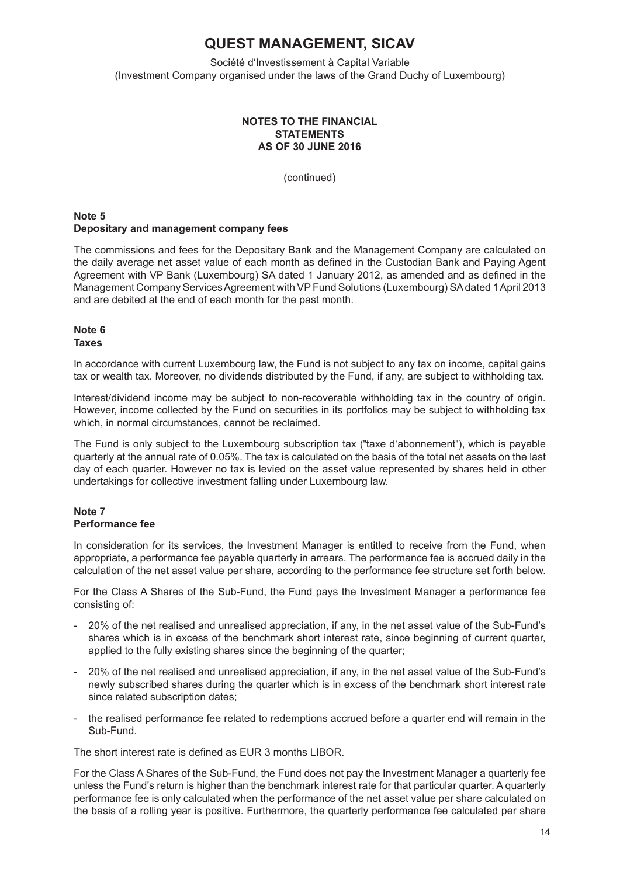Société d'Investissement à Capital Variable (Investment Company organised under the laws of the Grand Duchy of Luxembourg)

### **NOTES TO THE FINANCIAL STATEMENTS AS OF 30 JUNE 2016**

(continued)

### **Note 5 Depositary and management company fees**

The commissions and fees for the Depositary Bank and the Management Company are calculated on the daily average net asset value of each month as defined in the Custodian Bank and Paying Agent Agreement with VP Bank (Luxembourg) SA dated 1 January 2012, as amended and as defined in the Management Company Services Agreement with VP Fund Solutions (Luxembourg) SA dated 1 April 2013 and are debited at the end of each month for the past month.

#### **Note 6 Taxes**

In accordance with current Luxembourg law, the Fund is not subject to any tax on income, capital gains tax or wealth tax. Moreover, no dividends distributed by the Fund, if any, are subject to withholding tax.

Interest/dividend income may be subject to non-recoverable withholding tax in the country of origin. However, income collected by the Fund on securities in its portfolios may be subject to withholding tax which, in normal circumstances, cannot be reclaimed.

The Fund is only subject to the Luxembourg subscription tax (″taxe d'abonnement″), which is payable quarterly at the annual rate of 0.05%. The tax is calculated on the basis of the total net assets on the last day of each quarter. However no tax is levied on the asset value represented by shares held in other undertakings for collective investment falling under Luxembourg law.

### **Note 7 Performance fee**

In consideration for its services, the Investment Manager is entitled to receive from the Fund, when appropriate, a performance fee payable quarterly in arrears. The performance fee is accrued daily in the calculation of the net asset value per share, according to the performance fee structure set forth below.

For the Class A Shares of the Sub-Fund, the Fund pays the Investment Manager a performance fee consisting of:

- 20% of the net realised and unrealised appreciation, if any, in the net asset value of the Sub-Fund's shares which is in excess of the benchmark short interest rate, since beginning of current quarter, applied to the fully existing shares since the beginning of the quarter;
- 20% of the net realised and unrealised appreciation, if any, in the net asset value of the Sub-Fund's newly subscribed shares during the quarter which is in excess of the benchmark short interest rate since related subscription dates;
- the realised performance fee related to redemptions accrued before a quarter end will remain in the Sub-Fund.

The short interest rate is defined as EUR 3 months LIBOR.

For the Class A Shares of the Sub-Fund, the Fund does not pay the Investment Manager a quarterly fee unless the Fund's return is higher than the benchmark interest rate for that particular quarter. A quarterly performance fee is only calculated when the performance of the net asset value per share calculated on the basis of a rolling year is positive. Furthermore, the quarterly performance fee calculated per share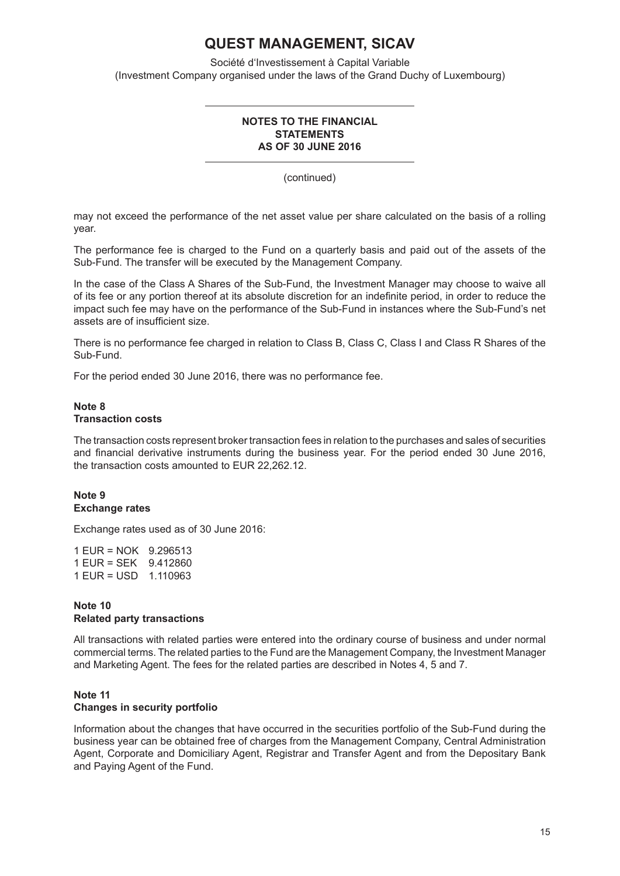Société d'Investissement à Capital Variable (Investment Company organised under the laws of the Grand Duchy of Luxembourg)

### **NOTES TO THE FINANCIAL STATEMENTS AS OF 30 JUNE 2016**

(continued)

may not exceed the performance of the net asset value per share calculated on the basis of a rolling year.

The performance fee is charged to the Fund on a quarterly basis and paid out of the assets of the Sub-Fund. The transfer will be executed by the Management Company.

In the case of the Class A Shares of the Sub-Fund, the Investment Manager may choose to waive all of its fee or any portion thereof at its absolute discretion for an indefinite period, in order to reduce the impact such fee may have on the performance of the Sub-Fund in instances where the Sub-Fund's net assets are of insufficient size.

There is no performance fee charged in relation to Class B, Class C, Class I and Class R Shares of the Sub-Fund.

For the period ended 30 June 2016, there was no performance fee.

### **Note 8 Transaction costs**

The transaction costs represent broker transaction fees in relation to the purchases and sales of securities and financial derivative instruments during the business year. For the period ended 30 June 2016, the transaction costs amounted to EUR 22,262.12.

### **Note 9 Exchange rates**

Exchange rates used as of 30 June 2016:

1 EUR = NOK 9.296513 1 EUR = SEK 9.412860 1 EUR = USD 1.110963

## **Note 10 Related party transactions**

All transactions with related parties were entered into the ordinary course of business and under normal commercial terms. The related parties to the Fund are the Management Company, the Investment Manager and Marketing Agent. The fees for the related parties are described in Notes 4, 5 and 7.

## **Note 11**

### **Changes in security portfolio**

Information about the changes that have occurred in the securities portfolio of the Sub-Fund during the business year can be obtained free of charges from the Management Company, Central Administration Agent, Corporate and Domiciliary Agent, Registrar and Transfer Agent and from the Depositary Bank and Paying Agent of the Fund.